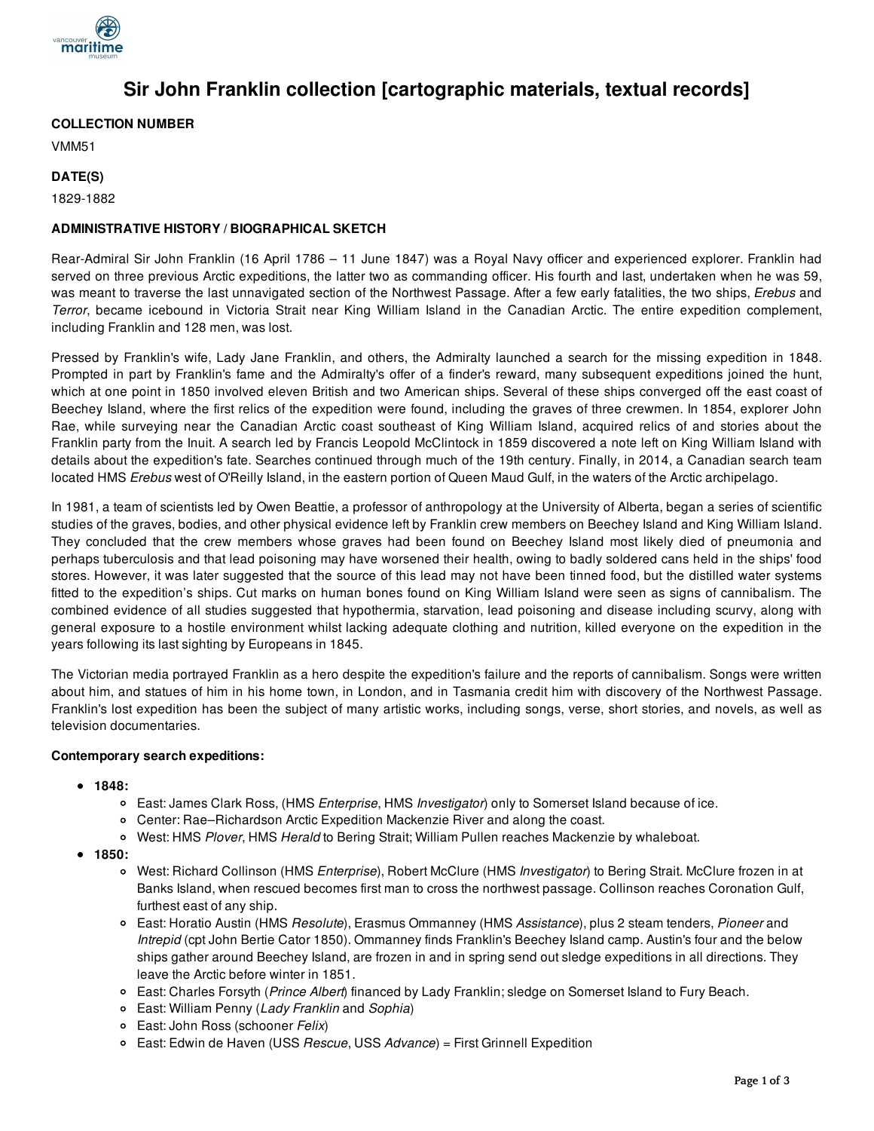

# **Sir John Franklin collection [cartographic materials, textual records]**

## **COLLECTION NUMBER**

VMM51

## **DATE(S)**

1829-1882

## **ADMINISTRATIVE HISTORY / BIOGRAPHICAL SKETCH**

Rear-Admiral Sir John Franklin (16 April 1786 – 11 June 1847) was a Royal Navy officer and experienced explorer. Franklin had served on three previous Arctic expeditions, the latter two as commanding officer. His fourth and last, undertaken when he was 59, was meant to traverse the last unnavigated section of the Northwest Passage. After a few early fatalities, the two ships, *Erebus* and *Terror*, became icebound in Victoria Strait near King William Island in the Canadian Arctic. The entire expedition complement, including Franklin and 128 men, was lost.

Pressed by Franklin's wife, Lady Jane Franklin, and others, the Admiralty launched a search for the missing expedition in 1848. Prompted in part by Franklin's fame and the Admiralty's offer of a finder's reward, many subsequent expeditions joined the hunt, which at one point in 1850 involved eleven British and two American ships. Several of these ships converged off the east coast of Beechey Island, where the first relics of the expedition were found, including the graves of three crewmen. In 1854, explorer John Rae, while surveying near the Canadian Arctic coast southeast of King William Island, acquired relics of and stories about the Franklin party from the Inuit. A search led by Francis Leopold McClintock in 1859 discovered a note left on King William Island with details about the expedition's fate. Searches continued through much of the 19th century. Finally, in 2014, a Canadian search team located HMS *Erebus* west of O'Reilly Island, in the eastern portion of Queen Maud Gulf, in the waters of the Arctic archipelago.

In 1981, a team of scientists led by Owen Beattie, a professor of anthropology at the University of Alberta, began a series of scientific studies of the graves, bodies, and other physical evidence left by Franklin crew members on Beechey Island and King William Island. They concluded that the crew members whose graves had been found on Beechey Island most likely died of pneumonia and perhaps tuberculosis and that lead poisoning may have worsened their health, owing to badly soldered cans held in the ships' food stores. However, it was later suggested that the source of this lead may not have been tinned food, but the distilled water systems fitted to the expedition's ships. Cut marks on human bones found on King William Island were seen as signs of cannibalism. The combined evidence of all studies suggested that hypothermia, starvation, lead poisoning and disease including scurvy, along with general exposure to a hostile environment whilst lacking adequate clothing and nutrition, killed everyone on the expedition in the years following its last sighting by Europeans in 1845.

The Victorian media portrayed Franklin as a hero despite the expedition's failure and the reports of cannibalism. Songs were written about him, and statues of him in his home town, in London, and in Tasmania credit him with discovery of the Northwest Passage. Franklin's lost expedition has been the subject of many artistic works, including songs, verse, short stories, and novels, as well as television documentaries.

#### **Contemporary search expeditions:**

- **1848:**
	- East: James Clark Ross, (HMS *Enterprise*, HMS *Investigator*) only to Somerset Island because of ice.
	- Center: Rae–Richardson Arctic Expedition Mackenzie River and along the coast.
	- West: HMS *Plover*, HMS *Herald* to Bering Strait; William Pullen reaches Mackenzie by whaleboat.
- **1850:**
	- West: Richard Collinson (HMS *Enterprise*), Robert McClure (HMS *Investigator*) to Bering Strait. McClure frozen in at Banks Island, when rescued becomes first man to cross the northwest passage. Collinson reaches Coronation Gulf, furthest east of any ship.
	- East: Horatio Austin (HMS *Resolute*), Erasmus Ommanney (HMS *Assistance*), plus 2 steam tenders, *Pioneer* and *Intrepid* (cpt John Bertie Cator 1850). Ommanney finds Franklin's Beechey Island camp. Austin's four and the below ships gather around Beechey Island, are frozen in and in spring send out sledge expeditions in all directions. They leave the Arctic before winter in 1851.
	- East: Charles Forsyth (*Prince Albert*) financed by Lady Franklin; sledge on Somerset Island to Fury Beach.
	- East: William Penny (*Lady Franklin* and *Sophia*)
	- East: John Ross (schooner *Felix*)
	- East: Edwin de Haven (USS *Rescue*, USS *Advance*) = First Grinnell Expedition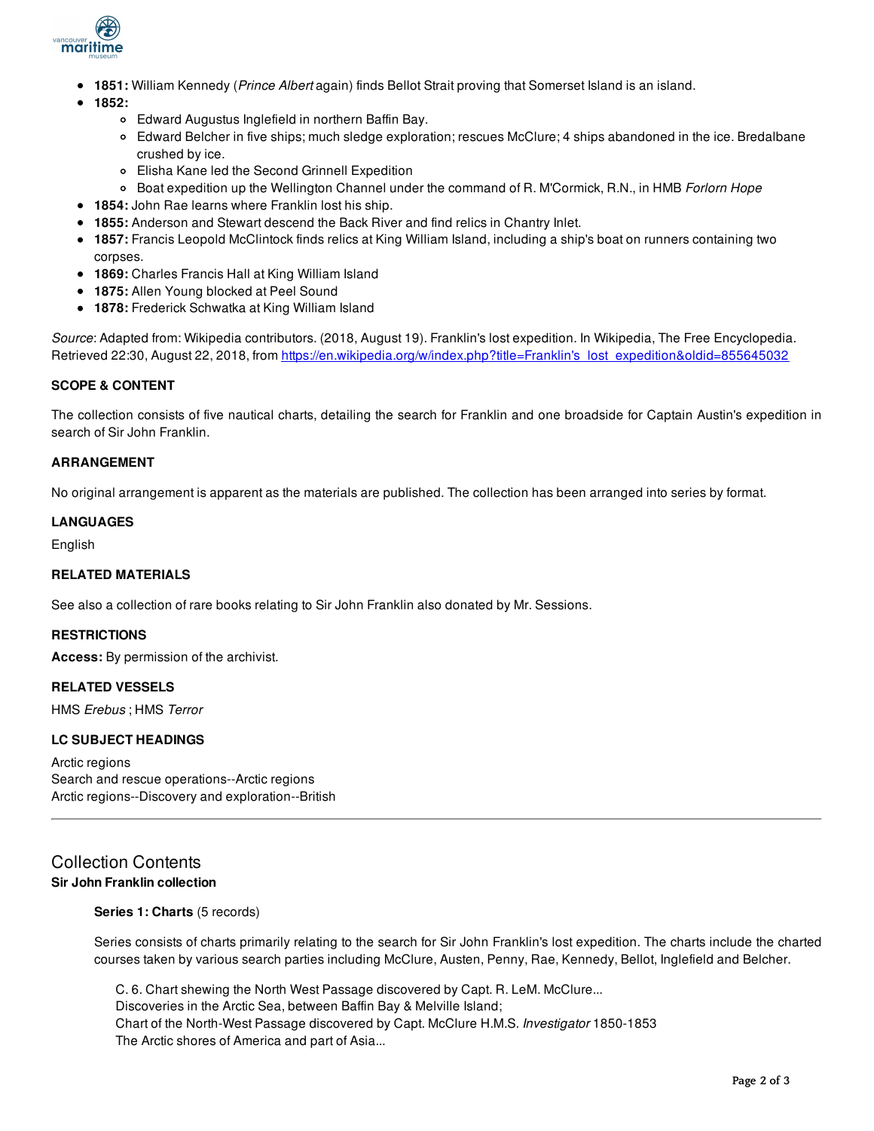

- **1851:** William Kennedy (*Prince Albert* again) finds Bellot Strait proving that Somerset Island is an island.
- **1852:**
	- Edward Augustus Inglefield in northern Baffin Bay.
	- Edward Belcher in five ships; much sledge exploration; rescues McClure; 4 ships abandoned in the ice. Bredalbane crushed by ice.
	- Elisha Kane led the Second Grinnell Expedition
	- Boat expedition up the Wellington Channel under the command of R. M'Cormick, R.N., in HMB *Forlorn Hope*
- **1854:** John Rae learns where Franklin lost his ship.
- **1855:** Anderson and Stewart descend the Back River and find relics in Chantry Inlet.
- **1857:** Francis Leopold McClintock finds relics at King William Island, including a ship's boat on runners containing two corpses.
- **1869:** Charles Francis Hall at King William Island
- **1875:** Allen Young blocked at Peel Sound
- **1878:** Frederick Schwatka at King William Island

*Source*: Adapted from: Wikipedia contributors. (2018, August 19). Franklin's lost expedition. In Wikipedia, The Free Encyclopedia. Retrieved 22:30, August 22, 2018, from https://en.wikipedia.org/w/index.php?title=Franklin's lost\_expedition&oldid=855645032

## **SCOPE & CONTENT**

The collection consists of five nautical charts, detailing the search for Franklin and one broadside for Captain Austin's expedition in search of Sir John Franklin.

## **ARRANGEMENT**

No original arrangement is apparent as the materials are published. The collection has been arranged into series by format.

#### **LANGUAGES**

English

## **RELATED MATERIALS**

See also a collection of rare books relating to Sir John Franklin also donated by Mr. Sessions.

#### **RESTRICTIONS**

**Access:** By permission of the archivist.

#### **RELATED VESSELS**

HMS *Erebus* ; HMS *Terror*

### **LC SUBJECT HEADINGS**

Arctic regions Search and rescue operations--Arctic regions Arctic regions--Discovery and exploration--British

## Collection Contents **Sir John Franklin collection**

## **Series 1: Charts** (5 records)

Series consists of charts primarily relating to the search for Sir John Franklin's lost expedition. The charts include the charted courses taken by various search parties including McClure, Austen, Penny, Rae, Kennedy, Bellot, Inglefield and Belcher.

C. 6. Chart shewing the North West Passage discovered by Capt. R. LeM. McClure... Discoveries in the Arctic Sea, between Baffin Bay & Melville Island; Chart of the North-West Passage discovered by Capt. McClure H.M.S. *Investigator* 1850-1853 The Arctic shores of America and part of Asia...